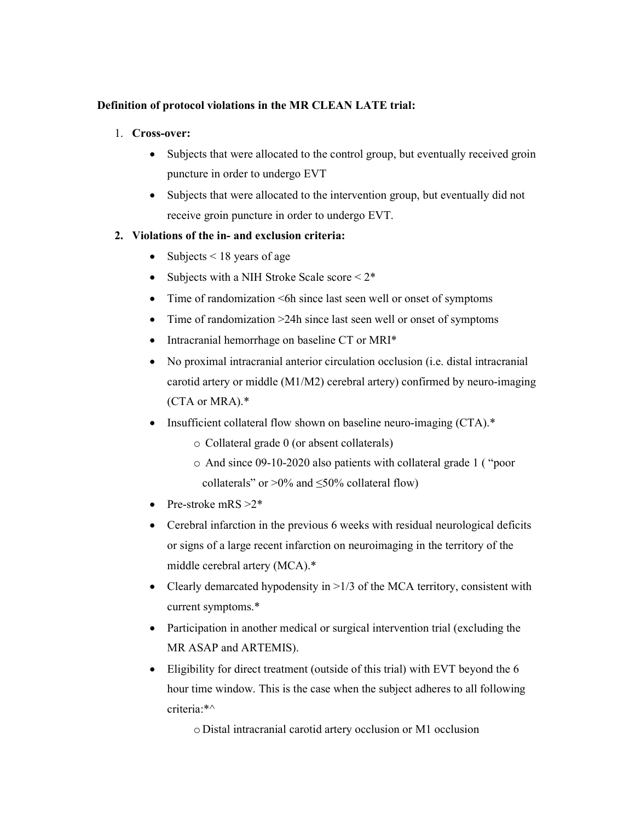## Definition of protocol violations in the MR CLEAN LATE trial:

- 1. Cross-over:
	- Subjects that were allocated to the control group, but eventually received groin puncture in order to undergo EVT
	- Subjects that were allocated to the intervention group, but eventually did not receive groin puncture in order to undergo EVT.

## 2. Violations of the in- and exclusion criteria:

- Subjects  $\leq 18$  years of age
- Subjects with a NIH Stroke Scale score  $\leq 2^*$
- Time of randomization <6h since last seen well or onset of symptoms
- Time of randomization >24h since last seen well or onset of symptoms
- Intracranial hemorrhage on baseline CT or MRI\*
- No proximal intracranial anterior circulation occlusion (i.e. distal intracranial carotid artery or middle (M1/M2) cerebral artery) confirmed by neuro-imaging (CTA or MRA).\*
- Insufficient collateral flow shown on baseline neuro-imaging (CTA).\*
	- o Collateral grade 0 (or absent collaterals)
	- o And since 09-10-2020 also patients with collateral grade 1 ( "poor collaterals" or >0% and  $\leq$ 50% collateral flow)
- Pre-stroke mRS  $>2^*$
- Cerebral infarction in the previous 6 weeks with residual neurological deficits or signs of a large recent infarction on neuroimaging in the territory of the middle cerebral artery (MCA).\*
- Clearly demarcated hypodensity in  $>1/3$  of the MCA territory, consistent with current symptoms.\*
- Participation in another medical or surgical intervention trial (excluding the MR ASAP and ARTEMIS).
- Eligibility for direct treatment (outside of this trial) with EVT beyond the 6 hour time window. This is the case when the subject adheres to all following criteria:\*^

o Distal intracranial carotid artery occlusion or M1 occlusion